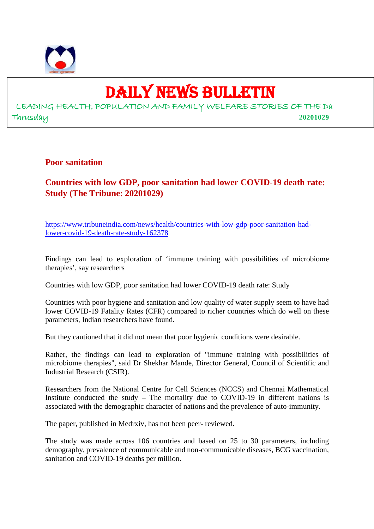

# DAILY NEWS BULLETIN

LEADING HEALTH, POPULATION AND FAMILY WELFARE STORIES OF THE Da Thrusday **20201029**

**Poor sanitation**

**Countries with low GDP, poor sanitation had lower COVID-19 death rate: Study (The Tribune: 20201029)**

https://www.tribuneindia.com/news/health/countries-with-low-gdp-poor-sanitation-hadlower-covid-19-death-rate-study-162378

Findings can lead to exploration of 'immune training with possibilities of microbiome therapies', say researchers

Countries with low GDP, poor sanitation had lower COVID-19 death rate: Study

Countries with poor hygiene and sanitation and low quality of water supply seem to have had lower COVID-19 Fatality Rates (CFR) compared to richer countries which do well on these parameters, Indian researchers have found.

But they cautioned that it did not mean that poor hygienic conditions were desirable.

Rather, the findings can lead to exploration of "immune training with possibilities of microbiome therapies", said Dr Shekhar Mande, Director General, Council of Scientific and Industrial Research (CSIR).

Researchers from the National Centre for Cell Sciences (NCCS) and Chennai Mathematical Institute conducted the study – The mortality due to COVID-19 in different nations is associated with the demographic character of nations and the prevalence of auto-immunity.

The paper, published in Medrxiv, has not been peer- reviewed.

The study was made across 106 countries and based on 25 to 30 parameters, including demography, prevalence of communicable and non-communicable diseases, BCG vaccination, sanitation and COVID-19 deaths per million.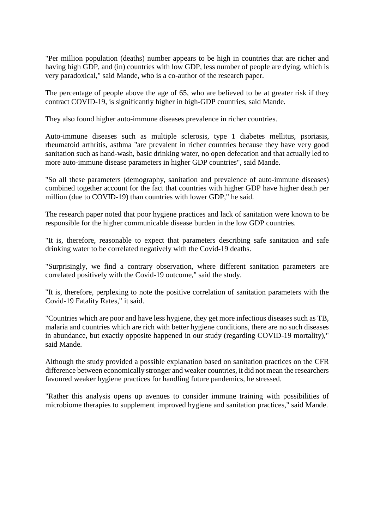"Per million population (deaths) number appears to be high in countries that are richer and having high GDP, and (in) countries with low GDP, less number of people are dying, which is very paradoxical," said Mande, who is a co-author of the research paper.

The percentage of people above the age of 65, who are believed to be at greater risk if they contract COVID-19, is significantly higher in high-GDP countries, said Mande.

They also found higher auto-immune diseases prevalence in richer countries.

Auto-immune diseases such as multiple sclerosis, type 1 diabetes mellitus, psoriasis, rheumatoid arthritis, asthma "are prevalent in richer countries because they have very good sanitation such as hand-wash, basic drinking water, no open defecation and that actually led to more auto-immune disease parameters in higher GDP countries", said Mande.

"So all these parameters (demography, sanitation and prevalence of auto-immune diseases) combined together account for the fact that countries with higher GDP have higher death per million (due to COVID-19) than countries with lower GDP," he said.

The research paper noted that poor hygiene practices and lack of sanitation were known to be responsible for the higher communicable disease burden in the low GDP countries.

"It is, therefore, reasonable to expect that parameters describing safe sanitation and safe drinking water to be correlated negatively with the Covid-19 deaths.

"Surprisingly, we find a contrary observation, where different sanitation parameters are correlated positively with the Covid-19 outcome," said the study.

"It is, therefore, perplexing to note the positive correlation of sanitation parameters with the Covid-19 Fatality Rates," it said.

"Countries which are poor and have less hygiene, they get more infectious diseases such as TB, malaria and countries which are rich with better hygiene conditions, there are no such diseases in abundance, but exactly opposite happened in our study (regarding COVID-19 mortality)," said Mande.

Although the study provided a possible explanation based on sanitation practices on the CFR difference between economically stronger and weaker countries, it did not mean the researchers favoured weaker hygiene practices for handling future pandemics, he stressed.

"Rather this analysis opens up avenues to consider immune training with possibilities of microbiome therapies to supplement improved hygiene and sanitation practices," said Mande.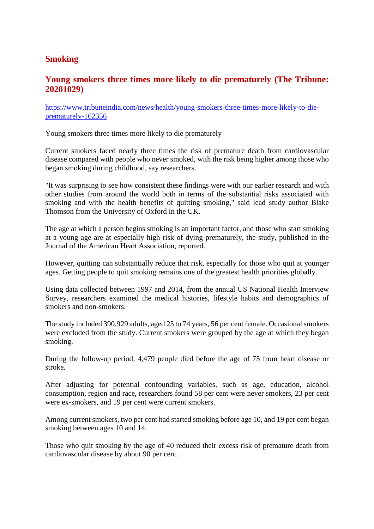## **Smoking**

## **Young smokers three times more likely to die prematurely (The Tribune: 20201029)**

https://www.tribuneindia.com/news/health/young-smokers-three-times-more-likely-to-dieprematurely-162356

Young smokers three times more likely to die prematurely

Current smokers faced nearly three times the risk of premature death from cardiovascular disease compared with people who never smoked, with the risk being higher among those who began smoking during childhood, say researchers.

"It was surprising to see how consistent these findings were with our earlier research and with other studies from around the world both in terms of the substantial risks associated with smoking and with the health benefits of quitting smoking," said lead study author Blake Thomson from the University of Oxford in the UK.

The age at which a person begins smoking is an important factor, and those who start smoking at a young age are at especially high risk of dying prematurely, the study, published in the Journal of the American Heart Association, reported.

However, quitting can substantially reduce that risk, especially for those who quit at younger ages. Getting people to quit smoking remains one of the greatest health priorities globally.

Using data collected between 1997 and 2014, from the annual US National Health Interview Survey, researchers examined the medical histories, lifestyle habits and demographics of smokers and non-smokers.

The study included 390,929 adults, aged 25 to 74 years, 56 per cent female. Occasional smokers were excluded from the study. Current smokers were grouped by the age at which they began smoking.

During the follow-up period, 4,479 people died before the age of 75 from heart disease or stroke.

After adjusting for potential confounding variables, such as age, education, alcohol consumption, region and race, researchers found 58 per cent were never smokers, 23 per cent were ex-smokers, and 19 per cent were current smokers.

Among current smokers, two per cent had started smoking before age 10, and 19 per cent began smoking between ages 10 and 14.

Those who quit smoking by the age of 40 reduced their excess risk of premature death from cardiovascular disease by about 90 per cent.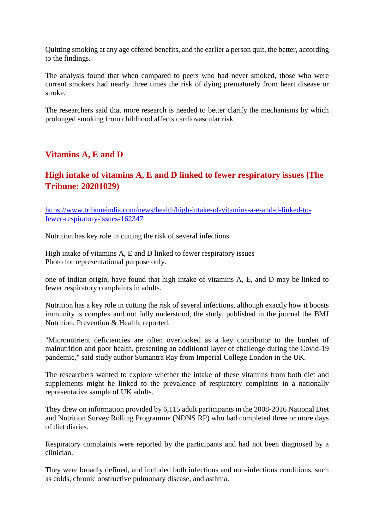Quitting smoking at any age offered benefits, and the earlier a person quit, the better, according to the findings.

The analysis found that when compared to peers who had never smoked, those who were current smokers had nearly three times the risk of dying prematurely from heart disease or stroke.

The researchers said that more research is needed to better clarify the mechanisms by which prolonged smoking from childhood affects cardiovascular risk.

## **Vitamins A, E and D**

# **High intake of vitamins A, E and D linked to fewer respiratory issues (The Tribune: 20201029)**

https://www.tribuneindia.com/news/health/high-intake-of-vitamins-a-e-and-d-linked-tofewer-respiratory-issues-162347

Nutrition has key role in cutting the risk of several infections

High intake of vitamins A, E and D linked to fewer respiratory issues Photo for representational purpose only.

one of Indian-origin, have found that high intake of vitamins A, E, and D may be linked to fewer respiratory complaints in adults.

Nutrition has a key role in cutting the risk of several infections, although exactly how it boosts immunity is complex and not fully understood, the study, published in the journal the BMJ Nutrition, Prevention & Health, reported.

"Micronutrient deficiencies are often overlooked as a key contributor to the burden of malnutrition and poor health, presenting an additional layer of challenge during the Covid-19 pandemic," said study author Sumantra Ray from Imperial College London in the UK.

The researchers wanted to explore whether the intake of these vitamins from both diet and supplements might be linked to the prevalence of respiratory complaints in a nationally representative sample of UK adults.

They drew on information provided by 6,115 adult participants in the 2008-2016 National Diet and Nutrition Survey Rolling Programme (NDNS RP) who had completed three or more days of diet diaries.

Respiratory complaints were reported by the participants and had not been diagnosed by a clinician.

They were broadly defined, and included both infectious and non-infectious conditions, such as colds, chronic obstructive pulmonary disease, and asthma.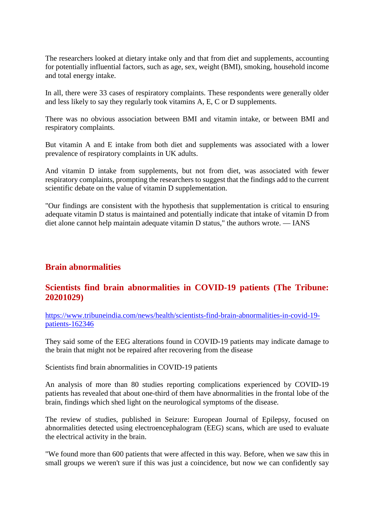The researchers looked at dietary intake only and that from diet and supplements, accounting for potentially influential factors, such as age, sex, weight (BMI), smoking, household income and total energy intake.

In all, there were 33 cases of respiratory complaints. These respondents were generally older and less likely to say they regularly took vitamins A, E, C or D supplements.

There was no obvious association between BMI and vitamin intake, or between BMI and respiratory complaints.

But vitamin A and E intake from both diet and supplements was associated with a lower prevalence of respiratory complaints in UK adults.

And vitamin D intake from supplements, but not from diet, was associated with fewer respiratory complaints, prompting the researchers to suggest that the findings add to the current scientific debate on the value of vitamin D supplementation.

"Our findings are consistent with the hypothesis that supplementation is critical to ensuring adequate vitamin D status is maintained and potentially indicate that intake of vitamin D from diet alone cannot help maintain adequate vitamin D status," the authors wrote. — IANS

## **Brain abnormalities**

## **Scientists find brain abnormalities in COVID-19 patients (The Tribune: 20201029)**

https://www.tribuneindia.com/news/health/scientists-find-brain-abnormalities-in-covid-19 patients-162346

They said some of the EEG alterations found in COVID-19 patients may indicate damage to the brain that might not be repaired after recovering from the disease

Scientists find brain abnormalities in COVID-19 patients

An analysis of more than 80 studies reporting complications experienced by COVID-19 patients has revealed that about one-third of them have abnormalities in the frontal lobe of the brain, findings which shed light on the neurological symptoms of the disease.

The review of studies, published in Seizure: European Journal of Epilepsy, focused on abnormalities detected using electroencephalogram (EEG) scans, which are used to evaluate the electrical activity in the brain.

"We found more than 600 patients that were affected in this way. Before, when we saw this in small groups we weren't sure if this was just a coincidence, but now we can confidently say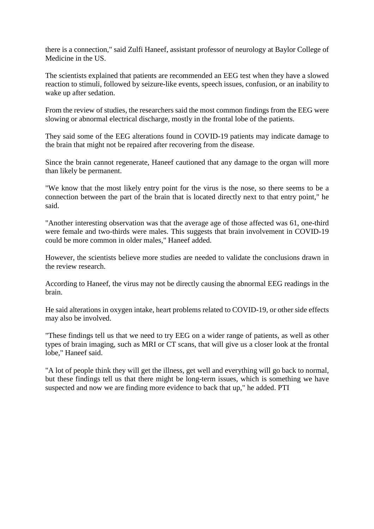there is a connection," said Zulfi Haneef, assistant professor of neurology at Baylor College of Medicine in the US.

The scientists explained that patients are recommended an EEG test when they have a slowed reaction to stimuli, followed by seizure-like events, speech issues, confusion, or an inability to wake up after sedation.

From the review of studies, the researchers said the most common findings from the EEG were slowing or abnormal electrical discharge, mostly in the frontal lobe of the patients.

They said some of the EEG alterations found in COVID-19 patients may indicate damage to the brain that might not be repaired after recovering from the disease.

Since the brain cannot regenerate, Haneef cautioned that any damage to the organ will more than likely be permanent.

"We know that the most likely entry point for the virus is the nose, so there seems to be a connection between the part of the brain that is located directly next to that entry point," he said.

"Another interesting observation was that the average age of those affected was 61, one-third were female and two-thirds were males. This suggests that brain involvement in COVID-19 could be more common in older males," Haneef added.

However, the scientists believe more studies are needed to validate the conclusions drawn in the review research.

According to Haneef, the virus may not be directly causing the abnormal EEG readings in the brain.

He said alterations in oxygen intake, heart problems related to COVID-19, or other side effects may also be involved.

"These findings tell us that we need to try EEG on a wider range of patients, as well as other types of brain imaging, such as MRI or CT scans, that will give us a closer look at the frontal lobe," Haneef said.

"A lot of people think they will get the illness, get well and everything will go back to normal, but these findings tell us that there might be long-term issues, which is something we have suspected and now we are finding more evidence to back that up," he added. PTI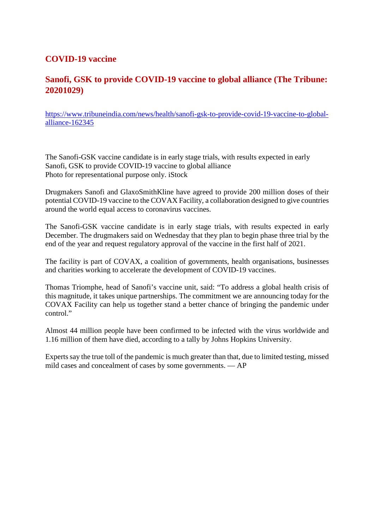## **COVID-19 vaccine**

# **Sanofi, GSK to provide COVID-19 vaccine to global alliance (The Tribune: 20201029)**

https://www.tribuneindia.com/news/health/sanofi-gsk-to-provide-covid-19-vaccine-to-globalalliance-162345

The Sanofi-GSK vaccine candidate is in early stage trials, with results expected in early Sanofi, GSK to provide COVID-19 vaccine to global alliance Photo for representational purpose only. iStock

Drugmakers Sanofi and GlaxoSmithKline have agreed to provide 200 million doses of their potential COVID-19 vaccine to the COVAX Facility, a collaboration designed to give countries around the world equal access to coronavirus vaccines.

The Sanofi-GSK vaccine candidate is in early stage trials, with results expected in early December. The drugmakers said on Wednesday that they plan to begin phase three trial by the end of the year and request regulatory approval of the vaccine in the first half of 2021.

The facility is part of COVAX, a coalition of governments, health organisations, businesses and charities working to accelerate the development of COVID-19 vaccines.

Thomas Triomphe, head of Sanofi's vaccine unit, said: "To address a global health crisis of this magnitude, it takes unique partnerships. The commitment we are announcing today for the COVAX Facility can help us together stand a better chance of bringing the pandemic under control."

Almost 44 million people have been confirmed to be infected with the virus worldwide and 1.16 million of them have died, according to a tally by Johns Hopkins University.

Experts say the true toll of the pandemic is much greater than that, due to limited testing, missed mild cases and concealment of cases by some governments. — AP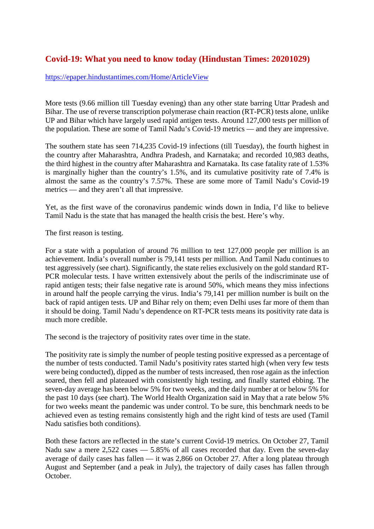## **Covid-19: What you need to know today (Hindustan Times: 20201029)**

### https://epaper.hindustantimes.com/Home/ArticleView

More tests (9.66 million till Tuesday evening) than any other state barring Uttar Pradesh and Bihar. The use of reverse transcription polymerase chain reaction (RT-PCR) tests alone, unlike UP and Bihar which have largely used rapid antigen tests. Around 127,000 tests per million of the population. These are some of Tamil Nadu's Covid-19 metrics — and they are impressive.

The southern state has seen 714,235 Covid-19 infections (till Tuesday), the fourth highest in the country after Maharashtra, Andhra Pradesh, and Karnataka; and recorded 10,983 deaths, the third highest in the country after Maharashtra and Karnataka. Its case fatality rate of 1.53% is marginally higher than the country's 1.5%, and its cumulative positivity rate of 7.4% is almost the same as the country's 7.57%. These are some more of Tamil Nadu's Covid-19 metrics — and they aren't all that impressive.

Yet, as the first wave of the coronavirus pandemic winds down in India, I'd like to believe Tamil Nadu is the state that has managed the health crisis the best. Here's why.

The first reason is testing.

For a state with a population of around 76 million to test 127,000 people per million is an achievement. India's overall number is 79,141 tests per million. And Tamil Nadu continues to test aggressively (see chart). Significantly, the state relies exclusively on the gold standard RT-PCR molecular tests. I have written extensively about the perils of the indiscriminate use of rapid antigen tests; their false negative rate is around 50%, which means they miss infections in around half the people carrying the virus. India's 79,141 per million number is built on the back of rapid antigen tests. UP and Bihar rely on them; even Delhi uses far more of them than it should be doing. Tamil Nadu's dependence on RT-PCR tests means its positivity rate data is much more credible.

The second is the trajectory of positivity rates over time in the state.

The positivity rate is simply the number of people testing positive expressed as a percentage of the number of tests conducted. Tamil Nadu's positivity rates started high (when very few tests were being conducted), dipped as the number of tests increased, then rose again as the infection soared, then fell and plateaued with consistently high testing, and finally started ebbing. The seven-day average has been below 5% for two weeks, and the daily number at or below 5% for the past 10 days (see chart). The World Health Organization said in May that a rate below 5% for two weeks meant the pandemic was under control. To be sure, this benchmark needs to be achieved even as testing remains consistently high and the right kind of tests are used (Tamil Nadu satisfies both conditions).

Both these factors are reflected in the state's current Covid-19 metrics. On October 27, Tamil Nadu saw a mere 2,522 cases — 5.85% of all cases recorded that day. Even the seven-day average of daily cases has fallen — it was 2,866 on October 27. After a long plateau through August and September (and a peak in July), the trajectory of daily cases has fallen through October.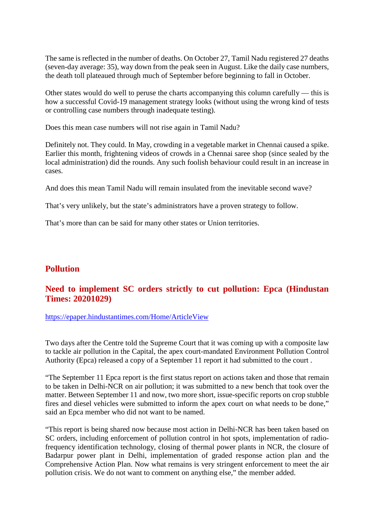The same is reflected in the number of deaths. On October 27, Tamil Nadu registered 27 deaths (seven-day average: 35), way down from the peak seen in August. Like the daily case numbers, the death toll plateaued through much of September before beginning to fall in October.

Other states would do well to peruse the charts accompanying this column carefully — this is how a successful Covid-19 management strategy looks (without using the wrong kind of tests or controlling case numbers through inadequate testing).

Does this mean case numbers will not rise again in Tamil Nadu?

Definitely not. They could. In May, crowding in a vegetable market in Chennai caused a spike. Earlier this month, frightening videos of crowds in a Chennai saree shop (since sealed by the local administration) did the rounds. Any such foolish behaviour could result in an increase in cases.

And does this mean Tamil Nadu will remain insulated from the inevitable second wave?

That's very unlikely, but the state's administrators have a proven strategy to follow.

That's more than can be said for many other states or Union territories.

# **Pollution**

# **Need to implement SC orders strictly to cut pollution: Epca (Hindustan Times: 20201029)**

https://epaper.hindustantimes.com/Home/ArticleView

Two days after the Centre told the Supreme Court that it was coming up with a composite law to tackle air pollution in the Capital, the apex court-mandated Environment Pollution Control Authority (Epca) released a copy of a September 11 report it had submitted to the court .

"The September 11 Epca report is the first status report on actions taken and those that remain to be taken in Delhi-NCR on air pollution; it was submitted to a new bench that took over the matter. Between September 11 and now, two more short, issue-specific reports on crop stubble fires and diesel vehicles were submitted to inform the apex court on what needs to be done," said an Epca member who did not want to be named.

"This report is being shared now because most action in Delhi-NCR has been taken based on SC orders, including enforcement of pollution control in hot spots, implementation of radiofrequency identification technology, closing of thermal power plants in NCR, the closure of Badarpur power plant in Delhi, implementation of graded response action plan and the Comprehensive Action Plan. Now what remains is very stringent enforcement to meet the air pollution crisis. We do not want to comment on anything else," the member added.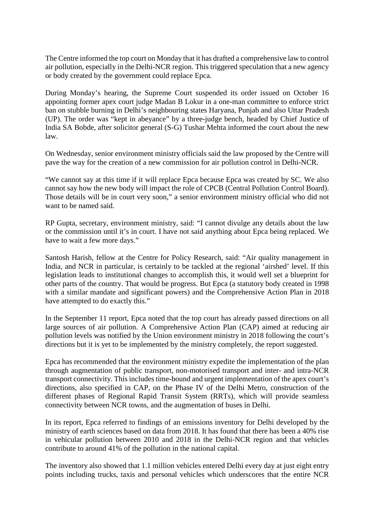The Centre informed the top court on Monday that it has drafted a comprehensive law to control air pollution, especially in the Delhi-NCR region. This triggered speculation that a new agency or body created by the government could replace Epca.

During Monday's hearing, the Supreme Court suspended its order issued on October 16 appointing former apex court judge Madan B Lokur in a one-man committee to enforce strict ban on stubble burning in Delhi's neighbouring states Haryana, Punjab and also Uttar Pradesh (UP). The order was "kept in abeyance" by a three-judge bench, headed by Chief Justice of India SA Bobde, after solicitor general (S-G) Tushar Mehta informed the court about the new law.

On Wednesday, senior environment ministry officials said the law proposed by the Centre will pave the way for the creation of a new commission for air pollution control in Delhi-NCR.

"We cannot say at this time if it will replace Epca because Epca was created by SC. We also cannot say how the new body will impact the role of CPCB (Central Pollution Control Board). Those details will be in court very soon," a senior environment ministry official who did not want to be named said.

RP Gupta, secretary, environment ministry, said: "I cannot divulge any details about the law or the commission until it's in court. I have not said anything about Epca being replaced. We have to wait a few more days."

Santosh Harish, fellow at the Centre for Policy Research, said: "Air quality management in India, and NCR in particular, is certainly to be tackled at the regional 'airshed' level. If this legislation leads to institutional changes to accomplish this, it would well set a blueprint for other parts of the country. That would be progress. But Epca (a statutory body created in 1998 with a similar mandate and significant powers) and the Comprehensive Action Plan in 2018 have attempted to do exactly this."

In the September 11 report, Epca noted that the top court has already passed directions on all large sources of air pollution. A Comprehensive Action Plan (CAP) aimed at reducing air pollution levels was notified by the Union environment ministry in 2018 following the court's directions but it is yet to be implemented by the ministry completely, the report suggested.

Epca has recommended that the environment ministry expedite the implementation of the plan through augmentation of public transport, non-motorised transport and inter- and intra-NCR transport connectivity. This includes time-bound and urgent implementation of the apex court's directions, also specified in CAP, on the Phase IV of the Delhi Metro, construction of the different phases of Regional Rapid Transit System (RRTs), which will provide seamless connectivity between NCR towns, and the augmentation of buses in Delhi.

In its report, Epca referred to findings of an emissions inventory for Delhi developed by the ministry of earth sciences based on data from 2018. It has found that there has been a 40% rise in vehicular pollution between 2010 and 2018 in the Delhi-NCR region and that vehicles contribute to around 41% of the pollution in the national capital.

The inventory also showed that 1.1 million vehicles entered Delhi every day at just eight entry points including trucks, taxis and personal vehicles which underscores that the entire NCR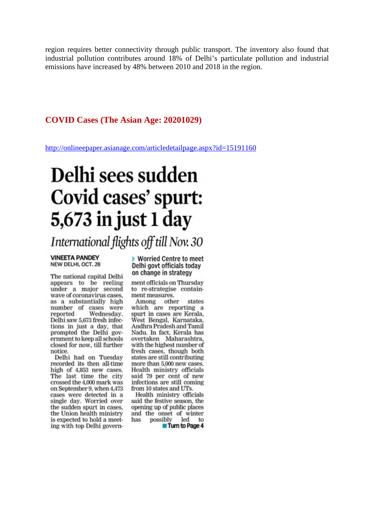region requires better connectivity through public transport. The inventory also found that industrial pollution contributes around 18% of Delhi's particulate pollution and industrial emissions have increased by 48% between 2010 and 2018 in the region.

## **COVID Cases (The Asian Age: 20201029)**

http://onlineepaper.asianage.com/articledetailpage.aspx?id=15191160

# Delhi sees sudden Covid cases' spurt: 5,673 in just 1 day

International flights off till Nov. 30

#### **VINEETA PANDEY** NEW DELHI, OCT. 28

The national capital Delhi appears to be reeling under a major second wave of coronavirus cases. as a substantially high number of cases were Wednesday. reported Delhi saw 5,673 fresh infections in just a day, that prompted the Delhi government to keep all schools closed for now, till further notice

Delhi had on Tuesday recorded its then all-time high of 4,853 new cases. The last time the city crossed the 4,000 mark was on September 9, when 4,473 cases were detected in a<br>single day. Worried over the sudden spurt in cases, the Union health ministry is expected to hold a meeting with top Delhi govern▶ Worried Centre to meet Delhi govt officials today on change in strategy

ment officials on Thursday to re-strategise containment measures.

Among other states which are reporting a spurt in cases are Kerala. West Bengal, Karnataka, Andhra Pradesh and Tamil Nadu. In fact, Kerala has overtaken Maharashtra, with the highest number of fresh cases, though both states are still contributing more than 5,000 new cases. Health ministry officials said 79 per cent of new infections are still coming from 10 states and UTs.

Health ministry officials said the festive season, the opening up of public places and the onset of winter has possibly led to Turn to Page 4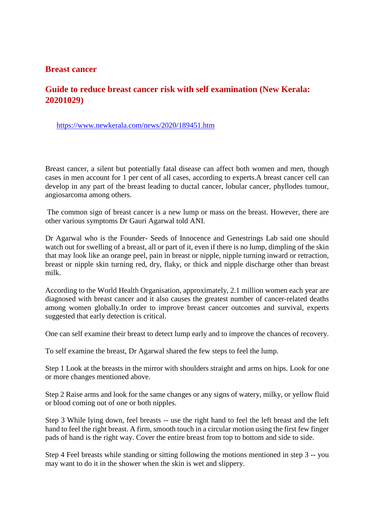## **Breast cancer**

## **Guide to reduce breast cancer risk with self examination (New Kerala: 20201029)**

https://www.newkerala.com/news/2020/189451.htm

Breast cancer, a silent but potentially fatal disease can affect both women and men, though cases in men account for 1 per cent of all cases, according to experts.A breast cancer cell can develop in any part of the breast leading to ductal cancer, lobular cancer, phyllodes tumour, angiosarcoma among others.

The common sign of breast cancer is a new lump or mass on the breast. However, there are other various symptoms Dr Gauri Agarwal told ANI.

Dr Agarwal who is the Founder- Seeds of Innocence and Genestrings Lab said one should watch out for swelling of a breast, all or part of it, even if there is no lump, dimpling of the skin that may look like an orange peel, pain in breast or nipple, nipple turning inward or retraction, breast or nipple skin turning red, dry, flaky, or thick and nipple discharge other than breast milk.

According to the World Health Organisation, approximately, 2.1 million women each year are diagnosed with breast cancer and it also causes the greatest number of cancer-related deaths among women globally.In order to improve breast cancer outcomes and survival, experts suggested that early detection is critical.

One can self examine their breast to detect lump early and to improve the chances of recovery.

To self examine the breast, Dr Agarwal shared the few steps to feel the lump.

Step 1 Look at the breasts in the mirror with shoulders straight and arms on hips. Look for one or more changes mentioned above.

Step 2 Raise arms and look for the same changes or any signs of watery, milky, or yellow fluid or blood coming out of one or both nipples.

Step 3 While lying down, feel breasts -- use the right hand to feel the left breast and the left hand to feel the right breast. A firm, smooth touch in a circular motion using the first few finger pads of hand is the right way. Cover the entire breast from top to bottom and side to side.

Step 4 Feel breasts while standing or sitting following the motions mentioned in step 3 -- you may want to do it in the shower when the skin is wet and slippery.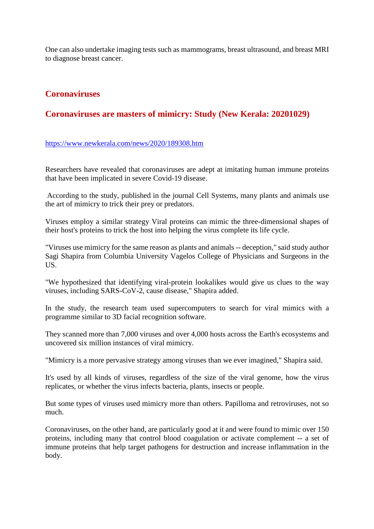One can also undertake imaging tests such as mammograms, breast ultrasound, and breast MRI to diagnose breast cancer.

## **Coronaviruses**

## **Coronaviruses are masters of mimicry: Study (New Kerala: 20201029)**

## https://www.newkerala.com/news/2020/189308.htm

Researchers have revealed that coronaviruses are adept at imitating human immune proteins that have been implicated in severe Covid-19 disease.

According to the study, published in the journal Cell Systems, many plants and animals use the art of mimicry to trick their prey or predators.

Viruses employ a similar strategy Viral proteins can mimic the three-dimensional shapes of their host's proteins to trick the host into helping the virus complete its life cycle.

"Viruses use mimicry for the same reason as plants and animals -- deception," said study author Sagi Shapira from Columbia University Vagelos College of Physicians and Surgeons in the US.

"We hypothesized that identifying viral-protein lookalikes would give us clues to the way viruses, including SARS-CoV-2, cause disease," Shapira added.

In the study, the research team used supercomputers to search for viral mimics with a programme similar to 3D facial recognition software.

They scanned more than 7,000 viruses and over 4,000 hosts across the Earth's ecosystems and uncovered six million instances of viral mimicry.

"Mimicry is a more pervasive strategy among viruses than we ever imagined," Shapira said.

It's used by all kinds of viruses, regardless of the size of the viral genome, how the virus replicates, or whether the virus infects bacteria, plants, insects or people.

But some types of viruses used mimicry more than others. Papilloma and retroviruses, not so much.

Coronaviruses, on the other hand, are particularly good at it and were found to mimic over 150 proteins, including many that control blood coagulation or activate complement -- a set of immune proteins that help target pathogens for destruction and increase inflammation in the body.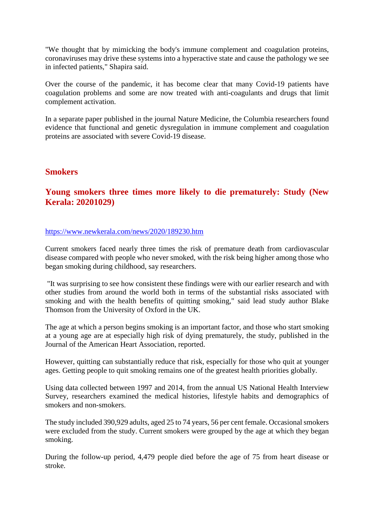"We thought that by mimicking the body's immune complement and coagulation proteins, coronaviruses may drive these systems into a hyperactive state and cause the pathology we see in infected patients," Shapira said.

Over the course of the pandemic, it has become clear that many Covid-19 patients have coagulation problems and some are now treated with anti-coagulants and drugs that limit complement activation.

In a separate paper published in the journal Nature Medicine, the Columbia researchers found evidence that functional and genetic dysregulation in immune complement and coagulation proteins are associated with severe Covid-19 disease.

## **Smokers**

## **Young smokers three times more likely to die prematurely: Study (New Kerala: 20201029)**

## https://www.newkerala.com/news/2020/189230.htm

Current smokers faced nearly three times the risk of premature death from cardiovascular disease compared with people who never smoked, with the risk being higher among those who began smoking during childhood, say researchers.

"It was surprising to see how consistent these findings were with our earlier research and with other studies from around the world both in terms of the substantial risks associated with smoking and with the health benefits of quitting smoking," said lead study author Blake Thomson from the University of Oxford in the UK.

The age at which a person begins smoking is an important factor, and those who start smoking at a young age are at especially high risk of dying prematurely, the study, published in the Journal of the American Heart Association, reported.

However, quitting can substantially reduce that risk, especially for those who quit at younger ages. Getting people to quit smoking remains one of the greatest health priorities globally.

Using data collected between 1997 and 2014, from the annual US National Health Interview Survey, researchers examined the medical histories, lifestyle habits and demographics of smokers and non-smokers.

The study included 390,929 adults, aged 25 to 74 years, 56 per cent female. Occasional smokers were excluded from the study. Current smokers were grouped by the age at which they began smoking.

During the follow-up period, 4,479 people died before the age of 75 from heart disease or stroke.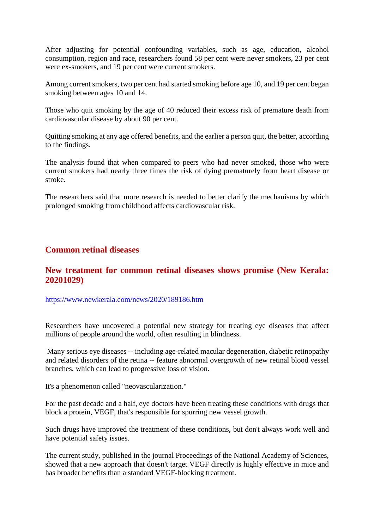After adjusting for potential confounding variables, such as age, education, alcohol consumption, region and race, researchers found 58 per cent were never smokers, 23 per cent were ex-smokers, and 19 per cent were current smokers.

Among current smokers, two per cent had started smoking before age 10, and 19 per cent began smoking between ages 10 and 14.

Those who quit smoking by the age of 40 reduced their excess risk of premature death from cardiovascular disease by about 90 per cent.

Quitting smoking at any age offered benefits, and the earlier a person quit, the better, according to the findings.

The analysis found that when compared to peers who had never smoked, those who were current smokers had nearly three times the risk of dying prematurely from heart disease or stroke.

The researchers said that more research is needed to better clarify the mechanisms by which prolonged smoking from childhood affects cardiovascular risk.

## **Common retinal diseases**

## **New treatment for common retinal diseases shows promise (New Kerala: 20201029)**

https://www.newkerala.com/news/2020/189186.htm

Researchers have uncovered a potential new strategy for treating eye diseases that affect millions of people around the world, often resulting in blindness.

Many serious eye diseases -- including age-related macular degeneration, diabetic retinopathy and related disorders of the retina -- feature abnormal overgrowth of new retinal blood vessel branches, which can lead to progressive loss of vision.

It's a phenomenon called "neovascularization."

For the past decade and a half, eye doctors have been treating these conditions with drugs that block a protein, VEGF, that's responsible for spurring new vessel growth.

Such drugs have improved the treatment of these conditions, but don't always work well and have potential safety issues.

The current study, published in the journal Proceedings of the National Academy of Sciences, showed that a new approach that doesn't target VEGF directly is highly effective in mice and has broader benefits than a standard VEGF-blocking treatment.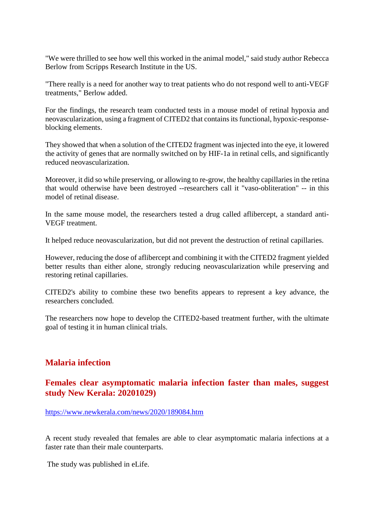"We were thrilled to see how well this worked in the animal model," said study author Rebecca Berlow from Scripps Research Institute in the US.

"There really is a need for another way to treat patients who do not respond well to anti-VEGF treatments," Berlow added.

For the findings, the research team conducted tests in a mouse model of retinal hypoxia and neovascularization, using a fragment of CITED2 that contains its functional, hypoxic-responseblocking elements.

They showed that when a solution of the CITED2 fragment was injected into the eye, it lowered the activity of genes that are normally switched on by HIF-1a in retinal cells, and significantly reduced neovascularization.

Moreover, it did so while preserving, or allowing to re-grow, the healthy capillaries in the retina that would otherwise have been destroyed --researchers call it "vaso-obliteration" -- in this model of retinal disease.

In the same mouse model, the researchers tested a drug called aflibercept, a standard anti-VEGF treatment.

It helped reduce neovascularization, but did not prevent the destruction of retinal capillaries.

However, reducing the dose of aflibercept and combining it with the CITED2 fragment yielded better results than either alone, strongly reducing neovascularization while preserving and restoring retinal capillaries.

CITED2's ability to combine these two benefits appears to represent a key advance, the researchers concluded.

The researchers now hope to develop the CITED2-based treatment further, with the ultimate goal of testing it in human clinical trials.

## **Malaria infection**

## **Females clear asymptomatic malaria infection faster than males, suggest study New Kerala: 20201029)**

https://www.newkerala.com/news/2020/189084.htm

A recent study revealed that females are able to clear asymptomatic malaria infections at a faster rate than their male counterparts.

The study was published in eLife.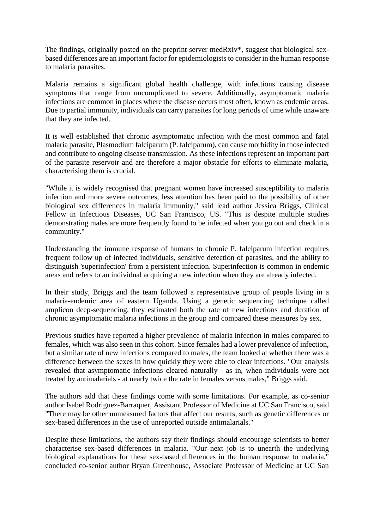The findings, originally posted on the preprint server medRxiv\*, suggest that biological sexbased differences are an important factor for epidemiologists to consider in the human response to malaria parasites.

Malaria remains a significant global health challenge, with infections causing disease symptoms that range from uncomplicated to severe. Additionally, asymptomatic malaria infections are common in places where the disease occurs most often, known as endemic areas. Due to partial immunity, individuals can carry parasites for long periods of time while unaware that they are infected.

It is well established that chronic asymptomatic infection with the most common and fatal malaria parasite, Plasmodium falciparum (P. falciparum), can cause morbidity in those infected and contribute to ongoing disease transmission. As these infections represent an important part of the parasite reservoir and are therefore a major obstacle for efforts to eliminate malaria, characterising them is crucial.

"While it is widely recognised that pregnant women have increased susceptibility to malaria infection and more severe outcomes, less attention has been paid to the possibility of other biological sex differences in malaria immunity," said lead author Jessica Briggs, Clinical Fellow in Infectious Diseases, UC San Francisco, US. "This is despite multiple studies demonstrating males are more frequently found to be infected when you go out and check in a community."

Understanding the immune response of humans to chronic P. falciparum infection requires frequent follow up of infected individuals, sensitive detection of parasites, and the ability to distinguish 'superinfection' from a persistent infection. Superinfection is common in endemic areas and refers to an individual acquiring a new infection when they are already infected.

In their study, Briggs and the team followed a representative group of people living in a malaria-endemic area of eastern Uganda. Using a genetic sequencing technique called amplicon deep-sequencing, they estimated both the rate of new infections and duration of chronic asymptomatic malaria infections in the group and compared these measures by sex.

Previous studies have reported a higher prevalence of malaria infection in males compared to females, which was also seen in this cohort. Since females had a lower prevalence of infection, but a similar rate of new infections compared to males, the team looked at whether there was a difference between the sexes in how quickly they were able to clear infections. "Our analysis revealed that asymptomatic infections cleared naturally - as in, when individuals were not treated by antimalarials - at nearly twice the rate in females versus males," Briggs said.

The authors add that these findings come with some limitations. For example, as co-senior author Isabel Rodriguez-Barraquer, Assistant Professor of Medicine at UC San Francisco, said "There may be other unmeasured factors that affect our results, such as genetic differences or sex-based differences in the use of unreported outside antimalarials."

Despite these limitations, the authors say their findings should encourage scientists to better characterise sex-based differences in malaria. "Our next job is to unearth the underlying biological explanations for these sex-based differences in the human response to malaria," concluded co-senior author Bryan Greenhouse, Associate Professor of Medicine at UC San